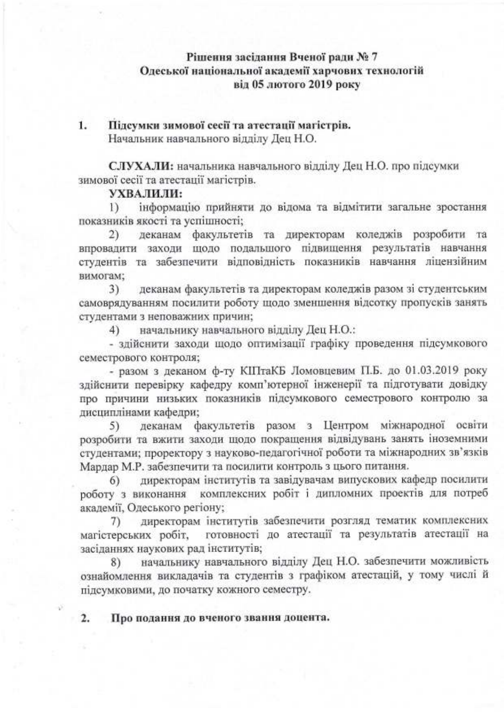### Рішення засідання Вченої ради № 7 Одеської національної академії харчових технологій від 05 лютого 2019 року

Підсумки зимової сесії та атестації магістрів.  $1.$ Начальник навчального відділу Дец Н.О.

СЛУХАЛИ: начальника навчального відділу Дец Н.О. про підсумки зимової сесії та атестації магістрів.

#### УХВАЛИЛИ:

інформацію прийняти до відома та відмітити загальне зростання  $\mathbf{D}$ показників якості та успішності;

деканам факультетів та директорам коледжів розробити та  $2)$ впровадити заходи щодо подальшого підвищення результатів навчання студентів та забезпечити відповідність показників навчання ліцензійним вимогам:

деканам факультетів та директорам коледжів разом зі студентським  $3)$ самоврядуванням посилити роботу шодо зменшення відсотку пропусків занять студентами з неповажних причин;

начальнику навчального відділу Дец Н.О.:  $4)$ 

- здійснити заходи щодо оптимізації графіку проведення підсумкового семестрового контроля;

- разом з деканом ф-ту КІПтаКБ Ломовцевим П.Б. до 01.03.2019 року здійснити перевірку кафедру комп'ютерної інженерії та підготувати довідку про причини низьких показників підсумкового семестрового контролю за лисциплінами кафедри:

деканам факультетів разом з Центром міжнародної освіти 5) розробити та вжити заходи щодо покращення відвідувань занять іноземними студентами; проректору з науково-педагогічної роботи та міжнародних зв'язків Мардар М.Р. забезпечити та посилити контроль з цього питання.

директорам інститутів та завідувачам випускових кафедр посилити 6) роботу з виконання комплексних робіт і дипломних проектів для потреб академії, Одеського регіону;

директорам інститутів забезпечити розгляд тематик комплексних 7). магістерських робіт, готовності до атестації та результатів атестації на засіданнях наукових рад інститутів;

начальнику навчального відділу Дец Н.О. забезпечити можливість 8) ознайомлення викладачів та студентів з графіком атестацій, у тому числі й пілсумковими, до початку кожного семестру.

Про подання до вченого звання доцента.  $\overline{2}$ .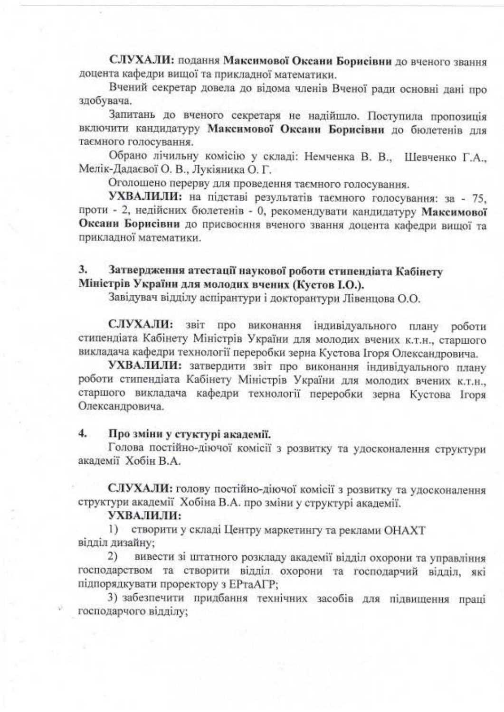СЛУХАЛИ: подання Максимової Оксани Борисівни до вченого звання доцента кафедри вищої та прикладної математики.

Вчений секретар довела до відома членів Вченої ради основні дані про здобувача.

Запитань до вченого секретаря не надійшло. Поступила пропозиція включити кандидатуру Максимової Оксани Борисівни до бюлетенів для таємного голосування.

Обрано лічильну комісію у складі: Немченка В. В., Шевченко Г.А., Мелік-Дадаєвої О. В., Лукіяника О. Г.

Оголошено перерву для проведення таємного голосування.

УХВАЛИЛИ: на підставі результатів таємного голосування: за - 75, проти - 2, недійсних бюлетенів - 0, рекомендувати кандидатуру Максимової Оксани Борисівни до присвоєння вченого звання доцента кафедри вищої та прикладної математики.

#### 3. Затвердження атестації наукової роботи стипендіата Кабінету Міністрів України для молодих вчених (Кустов I.O.).

Завідувач відділу аспірантури і докторантури Лівенцова О.О.

СЛУХАЛИ: звіт про виконання індивідуального плану роботи стипендіата Кабінету Міністрів України для молодих вчених к.т.н., старшого викладача кафедри технології переробки зерна Кустова Ігоря Олександровича.

УХВАЛИЛИ: затвердити звіт про виконання індивідуального плану роботи стипендіата Кабінету Міністрів України для молодих вчених к.т.н., старшого викладача кафедри технології переробки зерна Кустова Ігоря Олександровича.

#### Про зміни у стуктурі академії. 4.

Голова постійно-діючої комісії з розвитку та удосконалення структури акалемії Хобін В.А.

СЛУХАЛИ: голову постійно-діючої комісії з розвитку та удосконалення структури академії Хобіна В.А. про зміни у структурі академії.

## УХВАЛИЛИ:

1) створити у складі Центру маркетингу та реклами ОНАХТ відділ дизайну:

вивести зі штатного розкладу академії відділ охорони та управління  $2)$ господарством та створити відділ охорони та господарчий відділ, які підпорядкувати проректору з ЕРтаАГР;

3) забезпечити придбання технічних засобів для підвищення праці господарчого відділу;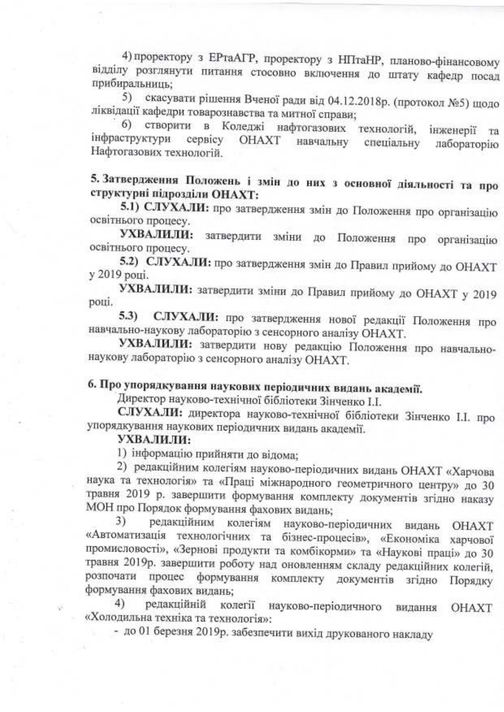4) проректору з ЕРтаАГР, проректору з НПтаНР, планово-фінансовому відділу розглянути питання стосовно включення до штату кафедр посад прибиральниць:

5) скасувати рішення Вченої ради від 04.12.2018р. (протокол №5) щодо ліквідації кафедри товарознавства та митної справи;

6) створити в Коледжі нафтогазових технологій, інженерії та інфраструктури сервісу **OHAXT** навчальну лабораторію спеціальну Нафтогазових технологій.

5. Затвердження Положень і змін до них з основної діяльності та про структурні підрозділи ОНАХТ:

5.1) СЛУХАЛИ: про затвердження змін до Положення про організацію освітнього процесу.

УХВАЛИЛИ: затвердити зміни до Положення про організацію освітнього процесу.

5.2) СЛУХАЛИ: про затвердження змін до Правил прийому до ОНАХТ у 2019 році.

УХВАЛИЛИ: затвердити зміни до Правил прийому до ОНАХТ у 2019 році.

5.3) СЛУХАЛИ: про затвердження нової редакції Положення про навчально-наукову лабораторію з сенсорного аналізу ОНАХТ.

УХВАЛИЛИ: затвердити нову редакцію Положення про навчальнонаукову лабораторію з сенсорного аналізу ОНАХТ.

# 6. Про упорядкування наукових періодичних видань академії.

Директор науково-технічної бібліотеки Зінченко І.І.

СЛУХАЛИ: директора науково-технічної бібліотеки Зінченко І.І. про упорядкування наукових періодичних видань академії.

### УХВАЛИЛИ:

1) інформацію прийняти до відома;

2) редакційним колегіям науково-періодичних видань ОНАХТ «Харчова наука та технологія» та «Праці міжнародного геометричного центру» до 30 травня 2019 р. завершити формування комплекту документів згідно наказу МОН про Порядок формування фахових видань;

редакційним колегіям 3) науково-періодичних видань ОНАХТ «Автоматизація технологічних та бізнес-процесів», «Економіка харчової промисловості», «Зернові продукти та комбікорми» та «Наукові праці» до 30 травня 2019р. завершити роботу над оновленням складу редакційних колегій, розпочати процес формування комплекту документів згідно Порядку формування фахових видань:

 $4)$ редакційній колегії науково-періодичного видання **OHAXT** «Холодильна техніка та технологія»:

- до 01 березня 2019р. забезпечити вихід друкованого накладу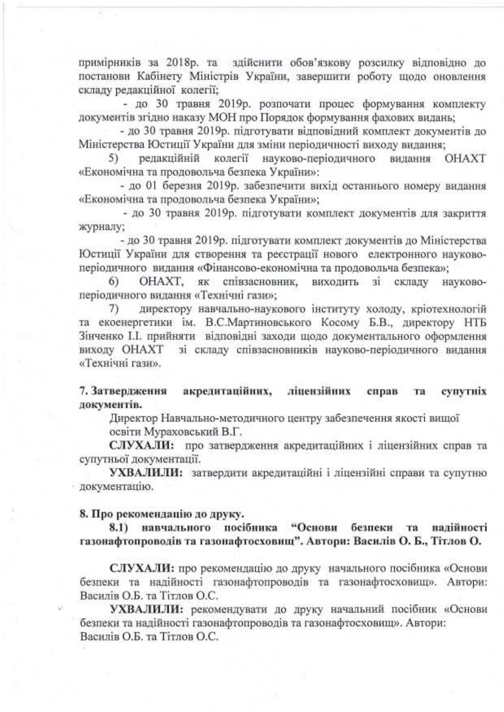примірників за 2018р. та здійснити обов'язкову розсилку відповідно до постанови Кабінету Міністрів України, завершити роботу щодо оновлення складу редакційної колегії;

- до 30 травня 2019р. розпочати процес формування комплекту документів згідно наказу МОН про Порядок формування фахових видань;

- до 30 травня 2019р. підготувати відповідний комплект документів до Міністерства Юстиції України для зміни періодичності виходу видання;<br>5) редакційній колегії науково-періодичного видання ОНАХТ

5) редакційній колегії науково-періодичного «Економічна та продовольча безпека України»:

- до 01 березня 2019р. забезпечити вихід останнього номеру видання «Економічна та продовольча безпека України»;

- до 30 травня 2019р. підготувати комплект документів для закриття xypHany;

- до 30 травня 2019р. підготувати комплект документів до Міністерства ИОстиції України для створення та реєстрації нового електронного науковоперіодичного видання «Фінансово-економічна та продовольча безпека»;

6) OHAXT, як співзасновник, виходить зі складу науковоперіодичного видання «Технічні гази»;

7) директору навчально-наукового інституту холоду, кріотехнологій та екоенергетики ім. В.С.Мартиновського Косому Б.В., директору НТБ Зінченко І.І. прийняти відповідні заходи щодо документального оформлення виходу OHAXT зі складу співзасновників науково-періодичного видання «Технічні гази».

7. Затвердження акредитаційних, ліцензійних справ та супутніх документів.

Директор Навчально-методичного центру забезпечення якості вищої

освіти Мураховський В.Г.

СЛУХАЛИ: про затвердження акредитаційних і ліцензійних справ та супутньої документації.

УХВАЛИЛИ: затвердити акредитаційні і ліцензійні справи та супутню документацію.

#### 8. Про рекомендацію до друку.

8.1) навчального посібника "Основи безпеки та надійності газонафтопроводів та газонафтосховищ". Автори: Василів О. Б., Тітлов О.

СЛУХАЛИ: про рекомендацію до друку начального посібника «Основи безпеки та надійності газонафтопроводів та газонафтосховищ». Автори: Василів О.Б. та Тітлов О.С.

УХВАЛИЛИ: рекомендувати до друку начальний посібник «Основи безпеки та надійності газонафтопроводів та газонафтосховищ». Автори: Bacunis O.E. ra Tirnos O.C.